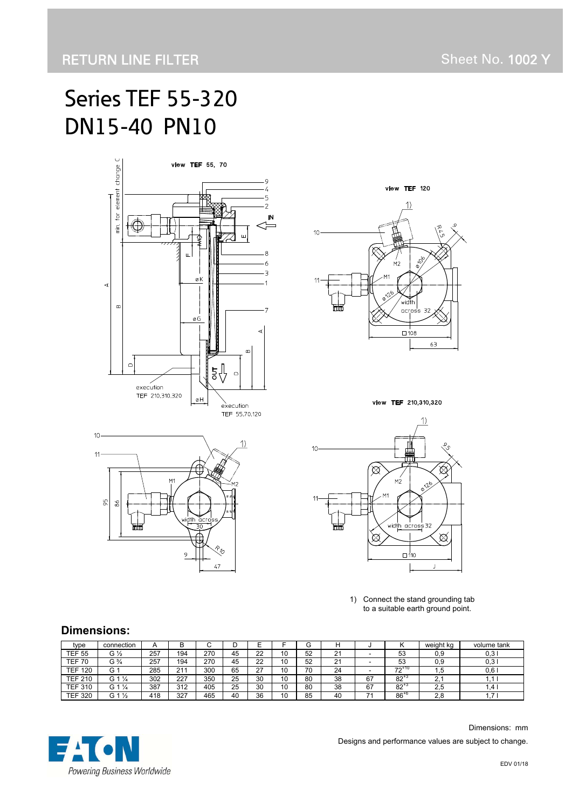# Series TEF 55-320 DN15-40 PN10





view TEF 210,310,320





1) Connect the stand grounding tab to a suitable earth ground point.

#### **Dimensions:**

 $10<sup>10</sup>$ 

 $11$ 

ă, 86

| type           | connection        | A   |     | ⌒<br>U | ັ  | −       |    | ⌒<br>G |           |    |                             | weight kg       | volume tank |
|----------------|-------------------|-----|-----|--------|----|---------|----|--------|-----------|----|-----------------------------|-----------------|-------------|
| <b>TEF 55</b>  | G ½               | 257 | 194 | 270    | 45 | 22      | 10 | 52     | n,<br>∠ ا |    | 53                          | 0.9             | 0.3         |
| TEF.<br>70     | G ¾               | 257 | 194 | 270    | 45 | 22      | 10 | 52     | n,<br>∠   |    | 53                          | 0.9             | 0.3         |
| TEF<br>120     | G                 | 285 | 211 | 300    | 65 | っっ<br>۷ | 10 | 70     | 24        |    | +10<br>$\overline{70}$<br>- | .b              | 0.6         |
| <b>TEF 210</b> | G 1 $\frac{1}{4}$ | 302 | 227 | 350    | 25 | 30      | 10 | 80     | 38        | 67 | 82                          | <b>.</b>        |             |
| <b>TEF 310</b> | G 1 $\frac{1}{4}$ | 387 | 312 | 405    | 25 | 30      | 10 | 80     | 38        | 67 | $82^{+}$                    | 2,5             | l.4         |
| TEF<br>320     | G 1 $\frac{1}{2}$ | 418 | 327 | 465    | 40 | 36      | 10 | 85     | 40        | ٠. | $86^{**}$                   | $\Omega$<br>۵.۵ | . .         |



 Dimensions: mm Designs and performance values are subject to change.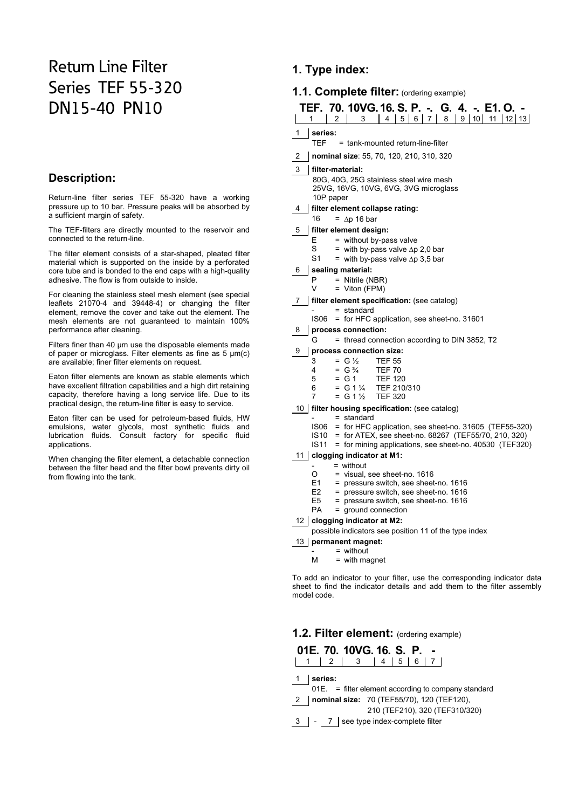## Return Line Filter Series TEF 55-320 DN15-40 PN10

#### **Description:**

Return-line filter series TEF 55-320 have a working pressure up to 10 bar. Pressure peaks will be absorbed by a sufficient margin of safety.

The TEF-filters are directly mounted to the reservoir and connected to the return-line.

The filter element consists of a star-shaped, pleated filter material which is supported on the inside by a perforated core tube and is bonded to the end caps with a high-quality adhesive. The flow is from outside to inside.

For cleaning the stainless steel mesh element (see special leaflets 21070-4 and 39448-4) or changing the filter element, remove the cover and take out the element. The mesh elements are not guaranteed to maintain 100% performance after cleaning.

Filters finer than 40 µm use the disposable elements made of paper or microglass. Filter elements as fine as 5 µm(c) are available; finer filter elements on request.

Eaton filter elements are known as stable elements which have excellent filtration capabilities and a high dirt retaining capacity, therefore having a long service life. Due to its practical design, the return-line filter is easy to service.

Eaton filter can be used for petroleum-based fluids, HW emulsions, water glycols, most synthetic fluids and lubrication fluids. Consult factory for specific fluid applications.

When changing the filter element, a detachable connection between the filter head and the filter bowl prevents dirty oil from flowing into the tank.

### **1. Type index:**

#### **1.1. Complete filter:** (ordering example)

| TEF. 70. 10VG.16. S. P. -. G. 4. -. E1. O. -<br>8<br>$\mathfrak{p}$<br>$\overline{7}$<br>9 <sup>1</sup><br>10 <sup>1</sup><br>4<br>5<br>6<br>11   12   13<br>3 |  |  |  |  |  |  |  |
|----------------------------------------------------------------------------------------------------------------------------------------------------------------|--|--|--|--|--|--|--|
| 1<br>series:                                                                                                                                                   |  |  |  |  |  |  |  |
| <b>TEF</b><br>= tank-mounted return-line-filter                                                                                                                |  |  |  |  |  |  |  |
| 2<br>nominal size: 55, 70, 120, 210, 310, 320                                                                                                                  |  |  |  |  |  |  |  |
| 3<br>filter-material:                                                                                                                                          |  |  |  |  |  |  |  |
| 80G, 40G, 25G stainless steel wire mesh<br>25VG, 16VG, 10VG, 6VG, 3VG microglass<br>10P paper                                                                  |  |  |  |  |  |  |  |
| filter element collapse rating:<br>4                                                                                                                           |  |  |  |  |  |  |  |
| 16<br>$=$ $\Delta p$ 16 bar                                                                                                                                    |  |  |  |  |  |  |  |
| 5<br>filter element design:                                                                                                                                    |  |  |  |  |  |  |  |
| E<br>= without by-pass valve                                                                                                                                   |  |  |  |  |  |  |  |
| S<br>= with by-pass valve $\Delta p$ 2,0 bar                                                                                                                   |  |  |  |  |  |  |  |
| S <sub>1</sub><br>= with by-pass valve $\Delta p$ 3,5 bar                                                                                                      |  |  |  |  |  |  |  |
| sealing material:<br>6                                                                                                                                         |  |  |  |  |  |  |  |
| P<br>$=$ Nitrile (NBR)<br>V<br>$=$ Viton (FPM)                                                                                                                 |  |  |  |  |  |  |  |
| filter element specification: (see catalog)<br>7                                                                                                               |  |  |  |  |  |  |  |
| $=$ standard                                                                                                                                                   |  |  |  |  |  |  |  |
| = for HFC application, see sheet-no. 31601<br>ISO6                                                                                                             |  |  |  |  |  |  |  |
| 8<br>process connection:                                                                                                                                       |  |  |  |  |  |  |  |
| G<br>= thread connection according to DIN 3852, T2                                                                                                             |  |  |  |  |  |  |  |
| process connection size:<br>9                                                                                                                                  |  |  |  |  |  |  |  |
| 3<br>$= G \frac{1}{2}$<br><b>TEF 55</b>                                                                                                                        |  |  |  |  |  |  |  |
| $= G \frac{3}{4}$<br><b>TEF 70</b><br>4                                                                                                                        |  |  |  |  |  |  |  |
| 5<br>$=$ G 1<br><b>TEF 120</b><br>$= G 1 \%$<br>TEF 210/310<br>6                                                                                               |  |  |  |  |  |  |  |
| $= G 1 \frac{1}{2}$<br><b>TEF 320</b><br>7                                                                                                                     |  |  |  |  |  |  |  |
| 10   filter housing specification: (see catalog)                                                                                                               |  |  |  |  |  |  |  |
| $=$ standard                                                                                                                                                   |  |  |  |  |  |  |  |
| = for HFC application, see sheet-no. 31605 (TEF55-320)<br>IS06                                                                                                 |  |  |  |  |  |  |  |
| = for ATEX, see sheet-no. 68267 (TEF55/70, 210, 320)<br><b>IS10</b>                                                                                            |  |  |  |  |  |  |  |
| <b>IS11</b><br>= for mining applications, see sheet-no. 40530 (TEF320)                                                                                         |  |  |  |  |  |  |  |
| clogging indicator at M1:<br>11<br>$=$ without                                                                                                                 |  |  |  |  |  |  |  |
| = visual, see sheet-no. 1616<br>O                                                                                                                              |  |  |  |  |  |  |  |
| E1<br>= pressure switch, see sheet-no. 1616                                                                                                                    |  |  |  |  |  |  |  |

- 
- E2 = pressure switch, see sheet-no. 1616
- $E$  = pressure switch, see sheet-no. 1616<br>PA = ground connection  $=$  ground connection

12 **clogging indicator at M2:**

possible indicators see position 11 of the type index

13 **permanent magnet:** 

- $=$  without
- $M = with magnetic$

To add an indicator to your filter, use the corresponding indicator data sheet to find the indicator details and add them to the filter assembly model code.

#### **1.2. Filter element:** (ordering example)

|  | 01E. 70. 10VG. 16. S. P. - |  |  |  |
|--|----------------------------|--|--|--|
|  | 1 1 2 3 4 5 6 7            |  |  |  |
|  |                            |  |  |  |

1 **series:**

01E. = filter element according to company standard

2 **nominal size:** 70 (TEF55/70), 120 (TEF120),

210 (TEF210), 320 (TEF310/320)

3 | - 7 | see type index-complete filter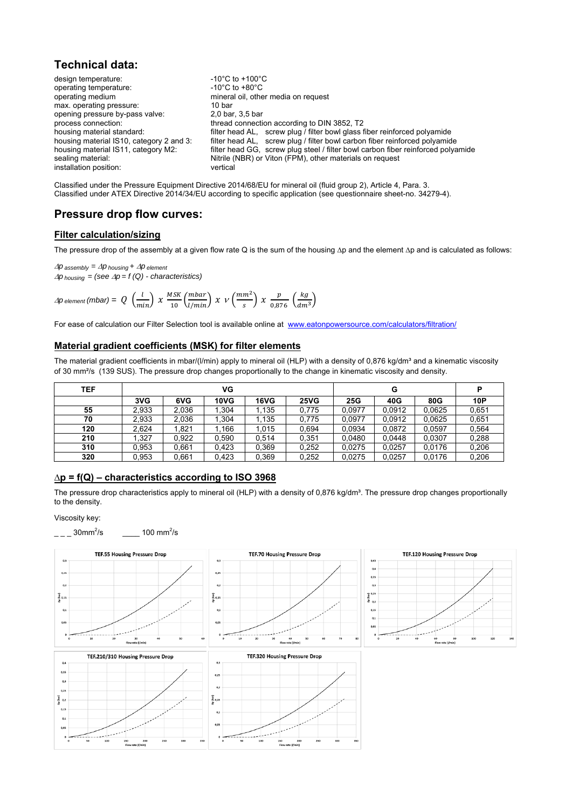#### **Technical data:**

design temperature:  $-10^{\circ}$ C to +100<sup>°</sup>C<br>operating temperature:  $-10^{\circ}$ C to +80<sup>°</sup>C operating temperature: operating medium mineral oil, other media on request max. operating pressure: 10 bar 10 bar operating pressure by-pass valve: 10 bar 3.5 bar opening pressure by-pass valve: process connection: thread connection according to DIN 3852, T2<br>housing material standard: filter head AL, screw plug / filter bowl glass f housing material standard:<br>
filter head AL, screw plug / filter bowl glass fiber reinforced polyamide<br>
housing material IS10, category 2 and 3: filter head AL, screw plug / filter bowl carbon fiber reinforced polyamide filter head AL, screw plug / filter bowl carbon fiber reinforced polyamide housing material IS11, category M2: filter head GG, screw plug steel / filter bowl carbon fiber reinforced polyamide sealing material:<br>
installation position:<br>
vertical<br>
vertical<br>
vertical installation position:

Classified under the Pressure Equipment Directive 2014/68/EU for mineral oil (fluid group 2), Article 4, Para. 3. Classified under ATEX Directive 2014/34/EU according to specific application (see questionnaire sheet-no. 34279-4).

#### **Pressure drop flow curves:**

#### **Filter calculation/sizing**

The pressure drop of the assembly at a given flow rate Q is the sum of the housing ∆p and the element ∆p and is calculated as follows:

 $\Delta p$  *assembly* =  $\Delta p$  *housing* +  $\Delta p$  *element*  $\Delta p$  *housing* = (see  $\Delta p$  = f (Q) - characteristics)

$$
\Delta p_{\text{element}}(\text{mbar}) = Q_{\text{min}}\left(\frac{l}{\text{min}}\right) \chi \frac{\text{MSK}}{10} \left(\frac{\text{mbar}}{l/\text{min}}\right) \chi \nu \left(\frac{\text{mm}^2}{s}\right) \chi \frac{p}{0.876} \left(\frac{kg}{\text{dm}^3}\right)
$$

For ease of calculation our Filter Selection tool is available online at www.eatonpowersource.com/calculators/filtration/

#### **Material gradient coefficients (MSK) for filter elements**

The material gradient coefficients in mbar/(I/min) apply to mineral oil (HLP) with a density of 0,876 kg/dm<sup>3</sup> and a kinematic viscosity of 30 mm²/s (139 SUS). The pressure drop changes proportionally to the change in kinematic viscosity and density.

| TEF |       |       | VG          |       |             | P      |        |        |       |
|-----|-------|-------|-------------|-------|-------------|--------|--------|--------|-------|
|     | 3VG   | 6VG   | <b>10VG</b> | 16VG  | <b>25VG</b> | 25G    | 40G    | 80G    | 10P   |
| 55  | 2.933 | 2.036 | 1.304       | l.135 | 0.775       | 0.0977 | 0.0912 | 0.0625 | 0.651 |
| 70  | 2.933 | 2.036 | 1.304       | .135  | 0.775       | 0.0977 | 0.0912 | 0.0625 | 0.651 |
| 120 | 2.624 | .821  | 1.166       | 1.015 | 0.694       | 0.0934 | 0.0872 | 0.0597 | 0.564 |
| 210 | . 327 | 0,922 | 0.590       | 0.514 | 0.351       | 0.0480 | 0.0448 | 0,0307 | 0.288 |
| 310 | 0.953 | 0.661 | 0.423       | 0.369 | 0.252       | 0.0275 | 0.0257 | 0.0176 | 0.206 |
| 320 | 0.953 | 0.661 | 0.423       | 0,369 | 0,252       | 0.0275 | 0.0257 | 0.0176 | 0,206 |

#### **∆p = f(Q) – characteristics according to ISO 3968**

The pressure drop characteristics apply to mineral oil (HLP) with a density of 0,876 kg/dm<sup>3</sup>. The pressure drop changes proportionally to the density.

#### Viscosity key:

 $30$ mm<sup>2</sup>/s /s  $\frac{100 \text{ mm}^2}{\text{s}}$